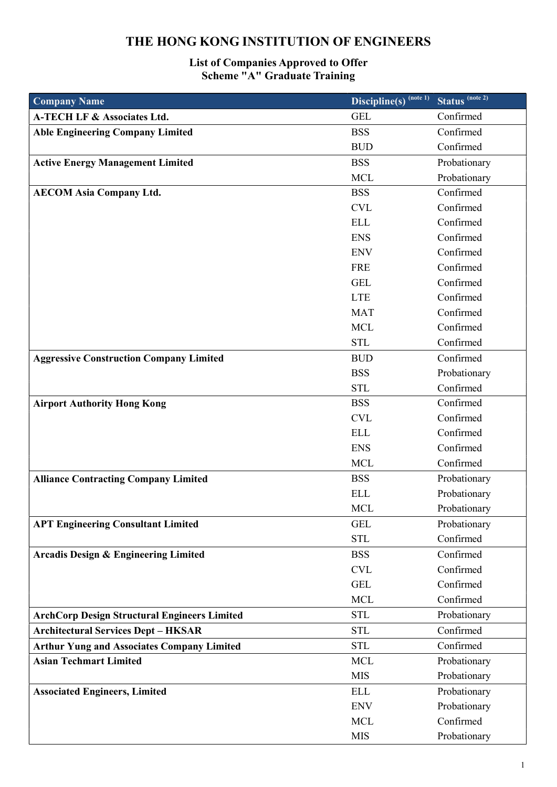## THE HONG KONG INSTITUTION OF ENGINEERS

## List of Companies Approved to Offer Scheme "A" Graduate Training

| <b>Company Name</b>                                 | $\overline{\text{Discipline}(s)}^{(\text{note }1)}$ | Status <sup>(note 2)</sup> |
|-----------------------------------------------------|-----------------------------------------------------|----------------------------|
| <b>A-TECH LF &amp; Associates Ltd.</b>              | <b>GEL</b>                                          | Confirmed                  |
| <b>Able Engineering Company Limited</b>             | <b>BSS</b>                                          | Confirmed                  |
|                                                     | <b>BUD</b>                                          | Confirmed                  |
| <b>Active Energy Management Limited</b>             | <b>BSS</b>                                          | Probationary               |
|                                                     | <b>MCL</b>                                          | Probationary               |
| <b>AECOM Asia Company Ltd.</b>                      | <b>BSS</b>                                          | Confirmed                  |
|                                                     | <b>CVL</b>                                          | Confirmed                  |
|                                                     | <b>ELL</b>                                          | Confirmed                  |
|                                                     | <b>ENS</b>                                          | Confirmed                  |
|                                                     | <b>ENV</b>                                          | Confirmed                  |
|                                                     | <b>FRE</b>                                          | Confirmed                  |
|                                                     | <b>GEL</b>                                          | Confirmed                  |
|                                                     | <b>LTE</b>                                          | Confirmed                  |
|                                                     | <b>MAT</b>                                          | Confirmed                  |
|                                                     | <b>MCL</b>                                          | Confirmed                  |
|                                                     | <b>STL</b>                                          | Confirmed                  |
| <b>Aggressive Construction Company Limited</b>      | <b>BUD</b>                                          | Confirmed                  |
|                                                     | <b>BSS</b>                                          | Probationary               |
|                                                     | <b>STL</b>                                          | Confirmed                  |
| <b>Airport Authority Hong Kong</b>                  | <b>BSS</b>                                          | Confirmed                  |
|                                                     | <b>CVL</b>                                          | Confirmed                  |
|                                                     | <b>ELL</b>                                          | Confirmed                  |
|                                                     | <b>ENS</b>                                          | Confirmed                  |
|                                                     | <b>MCL</b>                                          | Confirmed                  |
| <b>Alliance Contracting Company Limited</b>         | <b>BSS</b>                                          | Probationary               |
|                                                     | <b>ELL</b>                                          | Probationary               |
|                                                     | <b>MCL</b>                                          | Probationary               |
| <b>APT Engineering Consultant Limited</b>           | <b>GEL</b>                                          | Probationary               |
|                                                     | <b>STL</b>                                          | Confirmed                  |
| <b>Arcadis Design &amp; Engineering Limited</b>     | <b>BSS</b>                                          | Confirmed                  |
|                                                     | $\ensuremath{\text{CVL}}$                           | Confirmed                  |
|                                                     | <b>GEL</b>                                          | Confirmed                  |
|                                                     | <b>MCL</b>                                          | Confirmed                  |
| <b>ArchCorp Design Structural Engineers Limited</b> | <b>STL</b>                                          | Probationary               |
| <b>Architectural Services Dept - HKSAR</b>          | <b>STL</b>                                          | Confirmed                  |
| <b>Arthur Yung and Associates Company Limited</b>   | <b>STL</b>                                          | Confirmed                  |
| <b>Asian Techmart Limited</b>                       | <b>MCL</b>                                          | Probationary               |
|                                                     | <b>MIS</b>                                          | Probationary               |
| <b>Associated Engineers, Limited</b>                | <b>ELL</b>                                          | Probationary               |
|                                                     | <b>ENV</b>                                          | Probationary               |
|                                                     | <b>MCL</b>                                          | Confirmed                  |
|                                                     | <b>MIS</b>                                          | Probationary               |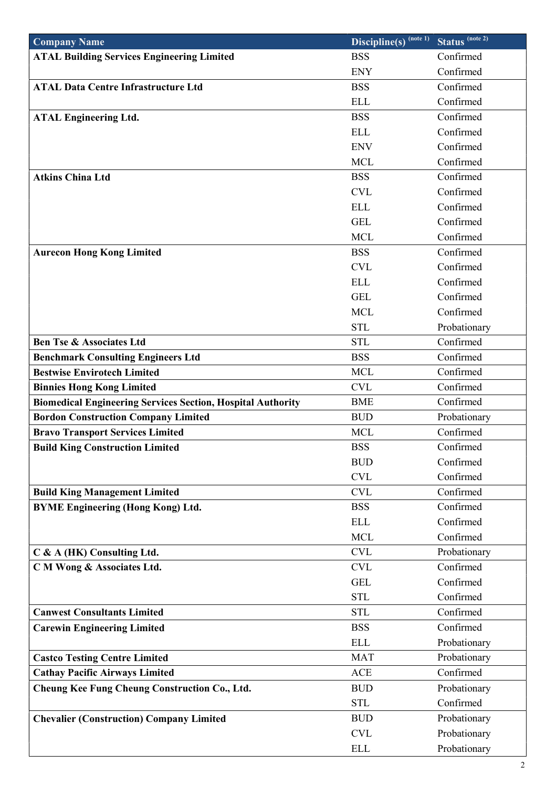| <b>Company Name</b>                                                | $\overline{\text{Discipline}(s)}^{\text{(note 1)}}$ | Status <sup>(note 2)</sup> |
|--------------------------------------------------------------------|-----------------------------------------------------|----------------------------|
| <b>ATAL Building Services Engineering Limited</b>                  | <b>BSS</b>                                          | Confirmed                  |
|                                                                    | <b>ENY</b>                                          | Confirmed                  |
| <b>ATAL Data Centre Infrastructure Ltd</b>                         | <b>BSS</b>                                          | Confirmed                  |
|                                                                    | <b>ELL</b>                                          | Confirmed                  |
| <b>ATAL Engineering Ltd.</b>                                       | <b>BSS</b>                                          | Confirmed                  |
|                                                                    | <b>ELL</b>                                          | Confirmed                  |
|                                                                    | <b>ENV</b>                                          | Confirmed                  |
|                                                                    | <b>MCL</b>                                          | Confirmed                  |
| <b>Atkins China Ltd</b>                                            | <b>BSS</b>                                          | Confirmed                  |
|                                                                    | <b>CVL</b>                                          | Confirmed                  |
|                                                                    | <b>ELL</b>                                          | Confirmed                  |
|                                                                    | <b>GEL</b>                                          | Confirmed                  |
|                                                                    | <b>MCL</b>                                          | Confirmed                  |
| <b>Aurecon Hong Kong Limited</b>                                   | <b>BSS</b>                                          | Confirmed                  |
|                                                                    | <b>CVL</b>                                          | Confirmed                  |
|                                                                    | <b>ELL</b>                                          | Confirmed                  |
|                                                                    | <b>GEL</b>                                          | Confirmed                  |
|                                                                    | <b>MCL</b>                                          | Confirmed                  |
|                                                                    | <b>STL</b>                                          | Probationary               |
| <b>Ben Tse &amp; Associates Ltd</b>                                | <b>STL</b>                                          | Confirmed                  |
| <b>Benchmark Consulting Engineers Ltd</b>                          | <b>BSS</b>                                          | Confirmed                  |
| <b>Bestwise Envirotech Limited</b>                                 | <b>MCL</b>                                          | Confirmed                  |
| <b>Binnies Hong Kong Limited</b>                                   | <b>CVL</b>                                          | Confirmed                  |
| <b>Biomedical Engineering Services Section, Hospital Authority</b> | <b>BME</b>                                          | Confirmed                  |
| <b>Bordon Construction Company Limited</b>                         | <b>BUD</b>                                          | Probationary               |
| <b>Bravo Transport Services Limited</b>                            | <b>MCL</b>                                          | Confirmed                  |
| <b>Build King Construction Limited</b>                             | <b>BSS</b>                                          | Confirmed                  |
|                                                                    | <b>BUD</b>                                          | Confirmed                  |
|                                                                    | <b>CVL</b>                                          | Confirmed                  |
| <b>Build King Management Limited</b>                               | <b>CVL</b>                                          | Confirmed                  |
| <b>BYME Engineering (Hong Kong) Ltd.</b>                           | <b>BSS</b>                                          | Confirmed                  |
|                                                                    | <b>ELL</b>                                          | Confirmed                  |
|                                                                    | <b>MCL</b>                                          | Confirmed                  |
| C & A (HK) Consulting Ltd.                                         | <b>CVL</b>                                          | Probationary               |
| C M Wong & Associates Ltd.                                         | <b>CVL</b>                                          | Confirmed                  |
|                                                                    | <b>GEL</b>                                          | Confirmed                  |
|                                                                    | <b>STL</b>                                          | Confirmed                  |
| <b>Canwest Consultants Limited</b>                                 | <b>STL</b>                                          | Confirmed                  |
| <b>Carewin Engineering Limited</b>                                 | <b>BSS</b>                                          | Confirmed                  |
|                                                                    | <b>ELL</b>                                          | Probationary               |
| <b>Castco Testing Centre Limited</b>                               | <b>MAT</b>                                          | Probationary               |
| <b>Cathay Pacific Airways Limited</b>                              | <b>ACE</b>                                          | Confirmed                  |
| <b>Cheung Kee Fung Cheung Construction Co., Ltd.</b>               | <b>BUD</b>                                          | Probationary               |
|                                                                    | <b>STL</b>                                          | Confirmed                  |
| <b>Chevalier (Construction) Company Limited</b>                    | <b>BUD</b>                                          | Probationary               |
|                                                                    | <b>CVL</b>                                          | Probationary               |
|                                                                    | <b>ELL</b>                                          | Probationary               |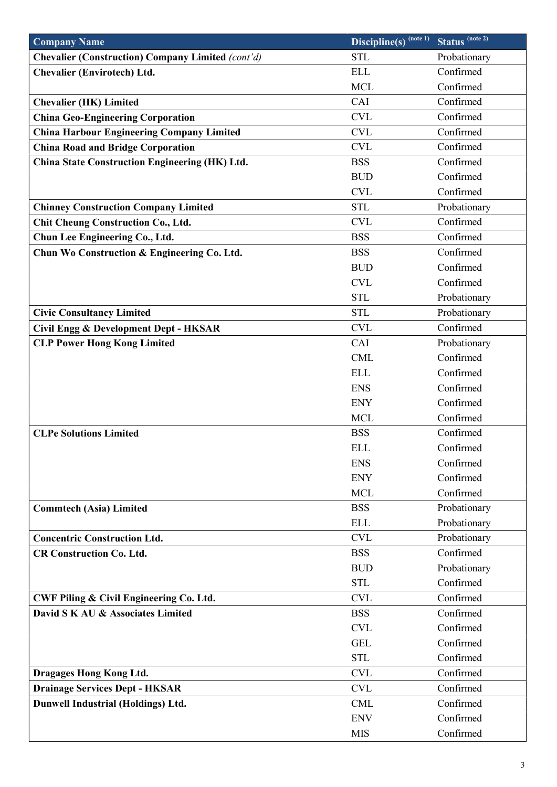| <b>Company Name</b>                                | $\overline{\text{Discipline}(s)}^{(\text{note }1)}$ | Status <sup>(note 2)</sup> |
|----------------------------------------------------|-----------------------------------------------------|----------------------------|
| Chevalier (Construction) Company Limited (cont'd)  | <b>STL</b>                                          | Probationary               |
| <b>Chevalier (Envirotech) Ltd.</b>                 | <b>ELL</b>                                          | Confirmed                  |
|                                                    | <b>MCL</b>                                          | Confirmed                  |
| <b>Chevalier (HK) Limited</b>                      | CAI                                                 | Confirmed                  |
| <b>China Geo-Engineering Corporation</b>           | <b>CVL</b>                                          | Confirmed                  |
| <b>China Harbour Engineering Company Limited</b>   | <b>CVL</b>                                          | Confirmed                  |
| <b>China Road and Bridge Corporation</b>           | <b>CVL</b>                                          | Confirmed                  |
| China State Construction Engineering (HK) Ltd.     | <b>BSS</b>                                          | Confirmed                  |
|                                                    | <b>BUD</b>                                          | Confirmed                  |
|                                                    | <b>CVL</b>                                          | Confirmed                  |
| <b>Chinney Construction Company Limited</b>        | <b>STL</b>                                          | Probationary               |
| <b>Chit Cheung Construction Co., Ltd.</b>          | <b>CVL</b>                                          | Confirmed                  |
| Chun Lee Engineering Co., Ltd.                     | <b>BSS</b>                                          | Confirmed                  |
| Chun Wo Construction & Engineering Co. Ltd.        | <b>BSS</b>                                          | Confirmed                  |
|                                                    | <b>BUD</b>                                          | Confirmed                  |
|                                                    | <b>CVL</b>                                          | Confirmed                  |
|                                                    | <b>STL</b>                                          | Probationary               |
| <b>Civic Consultancy Limited</b>                   | <b>STL</b>                                          | Probationary               |
| Civil Engg & Development Dept - HKSAR              | <b>CVL</b>                                          | Confirmed                  |
| <b>CLP Power Hong Kong Limited</b>                 | CAI                                                 | Probationary               |
|                                                    | <b>CML</b>                                          | Confirmed                  |
|                                                    | <b>ELL</b>                                          | Confirmed                  |
|                                                    | <b>ENS</b>                                          | Confirmed                  |
|                                                    | <b>ENY</b>                                          | Confirmed                  |
|                                                    | <b>MCL</b>                                          | Confirmed                  |
| <b>CLPe Solutions Limited</b>                      | <b>BSS</b>                                          | Confirmed                  |
|                                                    | <b>ELL</b>                                          | Confirmed                  |
|                                                    | <b>ENS</b>                                          | Confirmed                  |
|                                                    | <b>ENY</b>                                          | Confirmed                  |
|                                                    | <b>MCL</b>                                          | Confirmed                  |
| <b>Commtech (Asia) Limited</b>                     | <b>BSS</b>                                          | Probationary               |
|                                                    | <b>ELL</b>                                          | Probationary               |
| <b>Concentric Construction Ltd.</b>                | <b>CVL</b>                                          | Probationary               |
| <b>CR Construction Co. Ltd.</b>                    | <b>BSS</b>                                          | Confirmed                  |
|                                                    | <b>BUD</b>                                          | Probationary               |
|                                                    | <b>STL</b>                                          | Confirmed                  |
| <b>CWF Piling &amp; Civil Engineering Co. Ltd.</b> | <b>CVL</b>                                          | Confirmed                  |
| David S K AU & Associates Limited                  | <b>BSS</b>                                          | Confirmed                  |
|                                                    | <b>CVL</b>                                          | Confirmed                  |
|                                                    | <b>GEL</b>                                          | Confirmed                  |
|                                                    | <b>STL</b>                                          | Confirmed                  |
| <b>Dragages Hong Kong Ltd.</b>                     | <b>CVL</b>                                          | Confirmed                  |
| <b>Drainage Services Dept - HKSAR</b>              | <b>CVL</b>                                          | Confirmed                  |
| Dunwell Industrial (Holdings) Ltd.                 | <b>CML</b>                                          | Confirmed                  |
|                                                    | <b>ENV</b>                                          | Confirmed                  |
|                                                    | <b>MIS</b>                                          | Confirmed                  |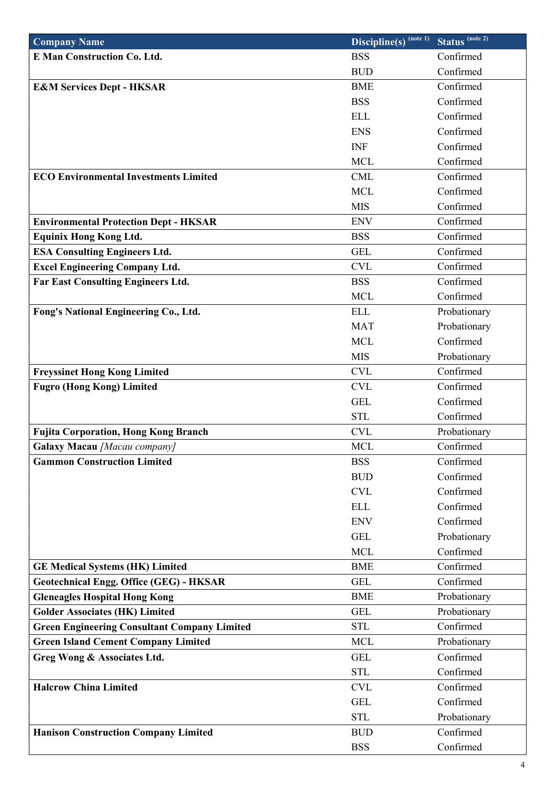| <b>Company Name</b>                                 | $\overline{\text{Discipline}(s)}^{\text{(note 1)}}$ | Status <sup>(note 2)</sup> |
|-----------------------------------------------------|-----------------------------------------------------|----------------------------|
| <b>E Man Construction Co. Ltd.</b>                  | <b>BSS</b>                                          | Confirmed                  |
|                                                     | <b>BUD</b>                                          | Confirmed                  |
| <b>E&amp;M Services Dept - HKSAR</b>                | <b>BME</b>                                          | Confirmed                  |
|                                                     | <b>BSS</b>                                          | Confirmed                  |
|                                                     | <b>ELL</b>                                          | Confirmed                  |
|                                                     | <b>ENS</b>                                          | Confirmed                  |
|                                                     | <b>INF</b>                                          | Confirmed                  |
|                                                     | <b>MCL</b>                                          | Confirmed                  |
| <b>ECO Environmental Investments Limited</b>        | <b>CML</b>                                          | Confirmed                  |
|                                                     | <b>MCL</b>                                          | Confirmed                  |
|                                                     | <b>MIS</b>                                          | Confirmed                  |
| <b>Environmental Protection Dept - HKSAR</b>        | <b>ENV</b>                                          | Confirmed                  |
| <b>Equinix Hong Kong Ltd.</b>                       | <b>BSS</b>                                          | Confirmed                  |
| <b>ESA Consulting Engineers Ltd.</b>                | <b>GEL</b>                                          | Confirmed                  |
| <b>Excel Engineering Company Ltd.</b>               | <b>CVL</b>                                          | Confirmed                  |
| <b>Far East Consulting Engineers Ltd.</b>           | <b>BSS</b>                                          | Confirmed                  |
|                                                     | <b>MCL</b>                                          | Confirmed                  |
| Fong's National Engineering Co., Ltd.               | <b>ELL</b>                                          | Probationary               |
|                                                     | <b>MAT</b>                                          | Probationary               |
|                                                     | <b>MCL</b>                                          | Confirmed                  |
|                                                     | <b>MIS</b>                                          | Probationary               |
| <b>Freyssinet Hong Kong Limited</b>                 | <b>CVL</b>                                          | Confirmed                  |
| <b>Fugro (Hong Kong) Limited</b>                    | <b>CVL</b>                                          | Confirmed                  |
|                                                     | <b>GEL</b>                                          | Confirmed                  |
|                                                     | <b>STL</b>                                          | Confirmed                  |
| <b>Fujita Corporation, Hong Kong Branch</b>         | <b>CVL</b>                                          | Probationary               |
| Galaxy Macau [Macau company]                        | <b>MCL</b>                                          | Confirmed                  |
| <b>Gammon Construction Limited</b>                  | <b>BSS</b>                                          | Confirmed                  |
|                                                     | <b>BUD</b>                                          | Confirmed                  |
|                                                     | <b>CVL</b>                                          | Confirmed                  |
|                                                     | <b>ELL</b>                                          | Confirmed                  |
|                                                     | <b>ENV</b>                                          | Confirmed                  |
|                                                     | <b>GEL</b>                                          | Probationary               |
|                                                     | <b>MCL</b>                                          | Confirmed                  |
| <b>GE Medical Systems (HK) Limited</b>              | <b>BME</b>                                          | Confirmed                  |
| <b>Geotechnical Engg. Office (GEG) - HKSAR</b>      | <b>GEL</b>                                          | Confirmed                  |
| <b>Gleneagles Hospital Hong Kong</b>                | <b>BME</b>                                          | Probationary               |
| <b>Golder Associates (HK) Limited</b>               | <b>GEL</b>                                          | Probationary               |
| <b>Green Engineering Consultant Company Limited</b> | <b>STL</b><br><b>MCL</b>                            | Confirmed<br>Probationary  |
| <b>Green Island Cement Company Limited</b>          |                                                     |                            |
| Greg Wong & Associates Ltd.                         | <b>GEL</b>                                          | Confirmed                  |
| <b>Halcrow China Limited</b>                        | <b>STL</b>                                          | Confirmed<br>Confirmed     |
|                                                     | <b>CVL</b><br><b>GEL</b>                            |                            |
|                                                     |                                                     | Confirmed                  |
|                                                     | <b>STL</b>                                          | Probationary<br>Confirmed  |
| <b>Hanison Construction Company Limited</b>         | <b>BUD</b>                                          |                            |
|                                                     | <b>BSS</b>                                          | Confirmed                  |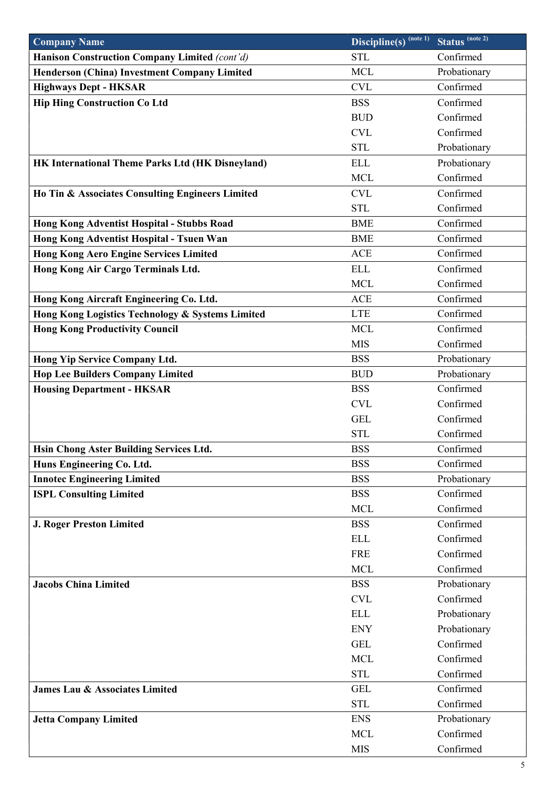| <b>Company Name</b>                                 | $\overline{\text{Discipline}(s)}^{\text{(note 1)}}$ | Status <sup>(note 2)</sup> |
|-----------------------------------------------------|-----------------------------------------------------|----------------------------|
| Hanison Construction Company Limited (cont'd)       | <b>STL</b>                                          | Confirmed                  |
| <b>Henderson (China) Investment Company Limited</b> | <b>MCL</b>                                          | Probationary               |
| <b>Highways Dept - HKSAR</b>                        | <b>CVL</b>                                          | Confirmed                  |
| <b>Hip Hing Construction Co Ltd</b>                 | <b>BSS</b>                                          | Confirmed                  |
|                                                     | <b>BUD</b>                                          | Confirmed                  |
|                                                     | <b>CVL</b>                                          | Confirmed                  |
|                                                     | <b>STL</b>                                          | Probationary               |
| HK International Theme Parks Ltd (HK Disneyland)    | <b>ELL</b>                                          | Probationary               |
|                                                     | <b>MCL</b>                                          | Confirmed                  |
| Ho Tin & Associates Consulting Engineers Limited    | <b>CVL</b>                                          | Confirmed                  |
|                                                     | <b>STL</b>                                          | Confirmed                  |
| <b>Hong Kong Adventist Hospital - Stubbs Road</b>   | <b>BME</b>                                          | Confirmed                  |
| Hong Kong Adventist Hospital - Tsuen Wan            | <b>BME</b>                                          | Confirmed                  |
| <b>Hong Kong Aero Engine Services Limited</b>       | ACE                                                 | Confirmed                  |
| Hong Kong Air Cargo Terminals Ltd.                  | <b>ELL</b>                                          | Confirmed                  |
|                                                     | <b>MCL</b>                                          | Confirmed                  |
| Hong Kong Aircraft Engineering Co. Ltd.             | <b>ACE</b>                                          | Confirmed                  |
| Hong Kong Logistics Technology & Systems Limited    | <b>LTE</b>                                          | Confirmed                  |
| <b>Hong Kong Productivity Council</b>               | <b>MCL</b>                                          | Confirmed                  |
|                                                     | <b>MIS</b>                                          | Confirmed                  |
| Hong Yip Service Company Ltd.                       | <b>BSS</b>                                          | Probationary               |
| <b>Hop Lee Builders Company Limited</b>             | <b>BUD</b>                                          | Probationary               |
| <b>Housing Department - HKSAR</b>                   | <b>BSS</b>                                          | Confirmed                  |
|                                                     | <b>CVL</b>                                          | Confirmed                  |
|                                                     | <b>GEL</b>                                          | Confirmed                  |
|                                                     | <b>STL</b>                                          | Confirmed                  |
| Hsin Chong Aster Building Services Ltd.             | <b>BSS</b>                                          | Confirmed                  |
| Huns Engineering Co. Ltd.                           | <b>BSS</b>                                          | Confirmed                  |
| <b>Innotec Engineering Limited</b>                  | <b>BSS</b>                                          | Probationary               |
| <b>ISPL Consulting Limited</b>                      | <b>BSS</b>                                          | Confirmed                  |
|                                                     | <b>MCL</b>                                          | Confirmed                  |
| <b>J. Roger Preston Limited</b>                     | <b>BSS</b>                                          | Confirmed                  |
|                                                     | <b>ELL</b>                                          | Confirmed                  |
|                                                     | <b>FRE</b>                                          | Confirmed                  |
|                                                     | <b>MCL</b>                                          | Confirmed                  |
| <b>Jacobs China Limited</b>                         | <b>BSS</b>                                          | Probationary               |
|                                                     | <b>CVL</b>                                          | Confirmed                  |
|                                                     | <b>ELL</b>                                          | Probationary               |
|                                                     | <b>ENY</b>                                          | Probationary               |
|                                                     | <b>GEL</b>                                          | Confirmed                  |
|                                                     | <b>MCL</b>                                          | Confirmed                  |
|                                                     | <b>STL</b>                                          | Confirmed                  |
| James Lau & Associates Limited                      | <b>GEL</b>                                          | Confirmed                  |
|                                                     | <b>STL</b>                                          | Confirmed                  |
| <b>Jetta Company Limited</b>                        | <b>ENS</b>                                          | Probationary               |
|                                                     | <b>MCL</b>                                          | Confirmed                  |
|                                                     | <b>MIS</b>                                          | Confirmed                  |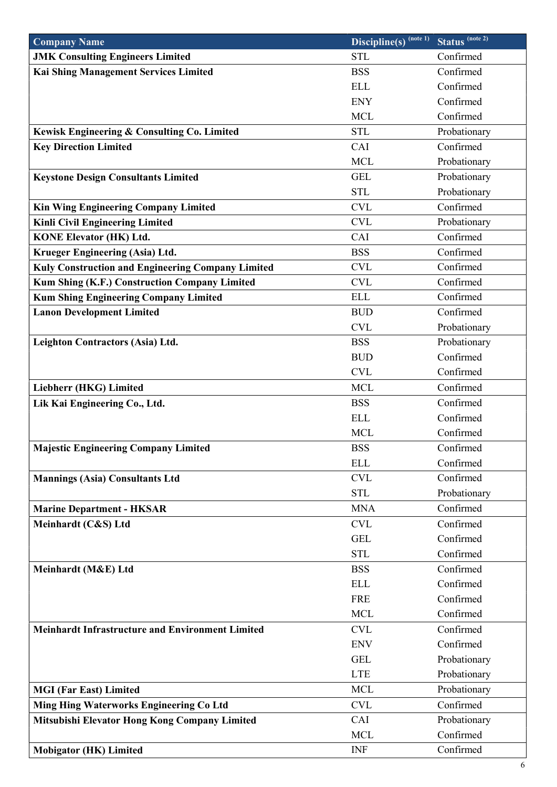| <b>Company Name</b>                                     | $\overline{\text{Discipline}(s)}^{\text{(note 1)}}$ | Status <sup>(note 2)</sup> |
|---------------------------------------------------------|-----------------------------------------------------|----------------------------|
| <b>JMK Consulting Engineers Limited</b>                 | <b>STL</b>                                          | Confirmed                  |
| Kai Shing Management Services Limited                   | <b>BSS</b>                                          | Confirmed                  |
|                                                         | <b>ELL</b>                                          | Confirmed                  |
|                                                         | <b>ENY</b>                                          | Confirmed                  |
|                                                         | <b>MCL</b>                                          | Confirmed                  |
| Kewisk Engineering & Consulting Co. Limited             | <b>STL</b>                                          | Probationary               |
| <b>Key Direction Limited</b>                            | CAI                                                 | Confirmed                  |
|                                                         | <b>MCL</b>                                          | Probationary               |
| <b>Keystone Design Consultants Limited</b>              | <b>GEL</b>                                          | Probationary               |
|                                                         | <b>STL</b>                                          | Probationary               |
| Kin Wing Engineering Company Limited                    | <b>CVL</b>                                          | Confirmed                  |
| Kinli Civil Engineering Limited                         | <b>CVL</b>                                          | Probationary               |
| <b>KONE Elevator (HK) Ltd.</b>                          | CAI                                                 | Confirmed                  |
| Krueger Engineering (Asia) Ltd.                         | <b>BSS</b>                                          | Confirmed                  |
| Kuly Construction and Engineering Company Limited       | <b>CVL</b>                                          | Confirmed                  |
| <b>Kum Shing (K.F.) Construction Company Limited</b>    | <b>CVL</b>                                          | Confirmed                  |
| <b>Kum Shing Engineering Company Limited</b>            | <b>ELL</b>                                          | Confirmed                  |
| <b>Lanon Development Limited</b>                        | <b>BUD</b>                                          | Confirmed                  |
|                                                         | <b>CVL</b>                                          | Probationary               |
| Leighton Contractors (Asia) Ltd.                        | <b>BSS</b>                                          | Probationary               |
|                                                         | <b>BUD</b>                                          | Confirmed                  |
|                                                         | <b>CVL</b>                                          | Confirmed                  |
| Liebherr (HKG) Limited                                  | <b>MCL</b>                                          | Confirmed                  |
| Lik Kai Engineering Co., Ltd.                           | <b>BSS</b>                                          | Confirmed                  |
|                                                         | <b>ELL</b>                                          | Confirmed                  |
|                                                         | <b>MCL</b>                                          | Confirmed                  |
| <b>Majestic Engineering Company Limited</b>             | <b>BSS</b>                                          | Confirmed                  |
|                                                         | <b>ELL</b>                                          | Confirmed                  |
| <b>Mannings (Asia) Consultants Ltd</b>                  | <b>CVL</b>                                          | Confirmed                  |
|                                                         | <b>STL</b>                                          | Probationary               |
| <b>Marine Department - HKSAR</b>                        | <b>MNA</b>                                          | Confirmed                  |
| Meinhardt (C&S) Ltd                                     | <b>CVL</b>                                          | Confirmed                  |
|                                                         | <b>GEL</b>                                          | Confirmed                  |
|                                                         | <b>STL</b>                                          | Confirmed                  |
| Meinhardt (M&E) Ltd                                     | <b>BSS</b>                                          | Confirmed                  |
|                                                         | <b>ELL</b>                                          | Confirmed                  |
|                                                         | <b>FRE</b>                                          | Confirmed                  |
|                                                         | <b>MCL</b>                                          | Confirmed                  |
| <b>Meinhardt Infrastructure and Environment Limited</b> | <b>CVL</b>                                          | Confirmed                  |
|                                                         | <b>ENV</b>                                          | Confirmed                  |
|                                                         | <b>GEL</b>                                          | Probationary               |
|                                                         | <b>LTE</b>                                          | Probationary               |
| <b>MGI (Far East) Limited</b>                           | <b>MCL</b>                                          | Probationary               |
| <b>Ming Hing Waterworks Engineering Co Ltd</b>          | <b>CVL</b>                                          | Confirmed                  |
| Mitsubishi Elevator Hong Kong Company Limited           | CAI                                                 | Probationary               |
|                                                         | <b>MCL</b>                                          | Confirmed                  |
| <b>Mobigator (HK) Limited</b>                           | <b>INF</b>                                          | Confirmed                  |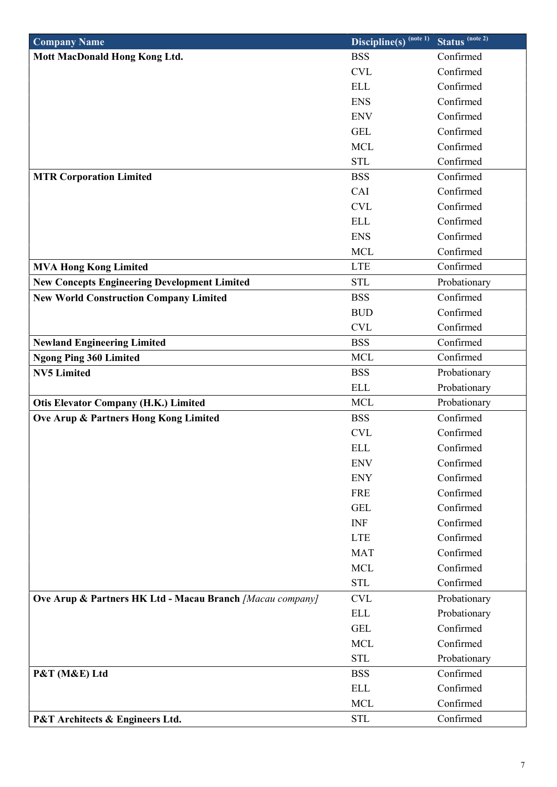| <b>Company Name</b>                                       | $\overline{\text{Discipline}(s)}^{\text{(note 1)}}$ | Status <sup>(note 2)</sup> |
|-----------------------------------------------------------|-----------------------------------------------------|----------------------------|
| Mott MacDonald Hong Kong Ltd.                             | <b>BSS</b>                                          | Confirmed                  |
|                                                           | <b>CVL</b>                                          | Confirmed                  |
|                                                           | <b>ELL</b>                                          | Confirmed                  |
|                                                           | <b>ENS</b>                                          | Confirmed                  |
|                                                           | <b>ENV</b>                                          | Confirmed                  |
|                                                           | <b>GEL</b>                                          | Confirmed                  |
|                                                           | <b>MCL</b>                                          | Confirmed                  |
|                                                           | <b>STL</b>                                          | Confirmed                  |
| <b>MTR Corporation Limited</b>                            | <b>BSS</b>                                          | Confirmed                  |
|                                                           | CAI                                                 | Confirmed                  |
|                                                           | <b>CVL</b>                                          | Confirmed                  |
|                                                           | <b>ELL</b>                                          | Confirmed                  |
|                                                           | <b>ENS</b>                                          | Confirmed                  |
|                                                           | <b>MCL</b>                                          | Confirmed                  |
| <b>MVA Hong Kong Limited</b>                              | <b>LTE</b>                                          | Confirmed                  |
| <b>New Concepts Engineering Development Limited</b>       | <b>STL</b>                                          | Probationary               |
| <b>New World Construction Company Limited</b>             | <b>BSS</b>                                          | Confirmed                  |
|                                                           | <b>BUD</b>                                          | Confirmed                  |
|                                                           | <b>CVL</b>                                          | Confirmed                  |
| <b>Newland Engineering Limited</b>                        | <b>BSS</b>                                          | Confirmed                  |
| <b>Ngong Ping 360 Limited</b>                             | <b>MCL</b>                                          | Confirmed                  |
| <b>NV5 Limited</b>                                        | <b>BSS</b>                                          | Probationary               |
|                                                           | <b>ELL</b>                                          | Probationary               |
| Otis Elevator Company (H.K.) Limited                      | <b>MCL</b>                                          | Probationary               |
| Ove Arup & Partners Hong Kong Limited                     | <b>BSS</b>                                          | Confirmed                  |
|                                                           | <b>CVL</b>                                          | Confirmed                  |
|                                                           | <b>ELL</b>                                          | Confirmed                  |
|                                                           | <b>ENV</b>                                          | Confirmed                  |
|                                                           | <b>ENY</b>                                          | Confirmed                  |
|                                                           | <b>FRE</b>                                          | Confirmed                  |
|                                                           | <b>GEL</b>                                          | Confirmed                  |
|                                                           | <b>INF</b>                                          | Confirmed                  |
|                                                           | <b>LTE</b>                                          | Confirmed                  |
|                                                           | <b>MAT</b>                                          | Confirmed                  |
|                                                           | <b>MCL</b>                                          | Confirmed                  |
|                                                           | <b>STL</b>                                          | Confirmed                  |
| Ove Arup & Partners HK Ltd - Macau Branch [Macau company] | <b>CVL</b>                                          | Probationary               |
|                                                           | <b>ELL</b>                                          | Probationary               |
|                                                           | <b>GEL</b>                                          | Confirmed                  |
|                                                           | <b>MCL</b>                                          | Confirmed                  |
|                                                           | <b>STL</b>                                          | Probationary               |
| P&T (M&E) Ltd                                             | <b>BSS</b>                                          | Confirmed                  |
|                                                           | <b>ELL</b>                                          | Confirmed                  |
|                                                           | <b>MCL</b>                                          | Confirmed                  |
| P&T Architects & Engineers Ltd.                           | <b>STL</b>                                          | Confirmed                  |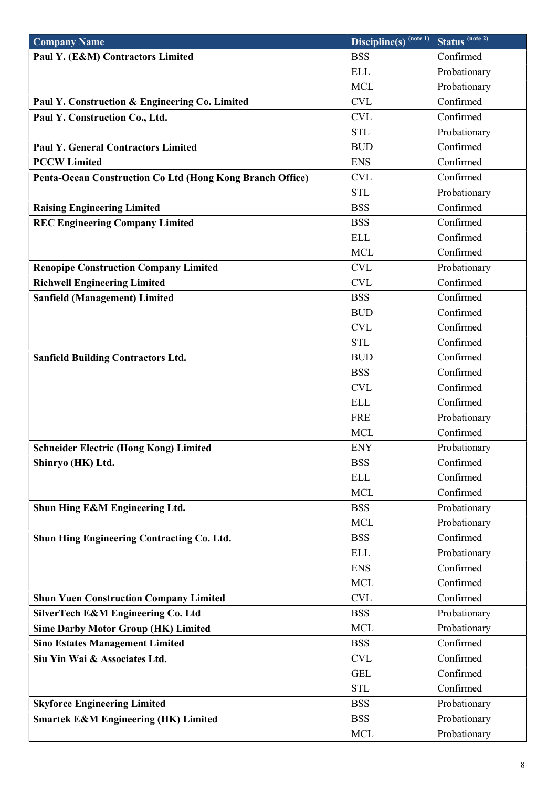| <b>Company Name</b>                                       | $\overline{\text{Discipline}(s)}^{(\text{note }1)}$ | Status <sup>(note 2)</sup> |
|-----------------------------------------------------------|-----------------------------------------------------|----------------------------|
| Paul Y. (E&M) Contractors Limited                         | <b>BSS</b>                                          | Confirmed                  |
|                                                           | <b>ELL</b>                                          | Probationary               |
|                                                           | <b>MCL</b>                                          | Probationary               |
| Paul Y. Construction & Engineering Co. Limited            | <b>CVL</b>                                          | Confirmed                  |
| Paul Y. Construction Co., Ltd.                            | <b>CVL</b>                                          | Confirmed                  |
|                                                           | <b>STL</b>                                          | Probationary               |
| <b>Paul Y. General Contractors Limited</b>                | <b>BUD</b>                                          | Confirmed                  |
| <b>PCCW Limited</b>                                       | <b>ENS</b>                                          | Confirmed                  |
| Penta-Ocean Construction Co Ltd (Hong Kong Branch Office) | <b>CVL</b>                                          | Confirmed                  |
|                                                           | <b>STL</b>                                          | Probationary               |
| <b>Raising Engineering Limited</b>                        | <b>BSS</b>                                          | Confirmed                  |
| <b>REC Engineering Company Limited</b>                    | <b>BSS</b>                                          | Confirmed                  |
|                                                           | <b>ELL</b>                                          | Confirmed                  |
|                                                           | <b>MCL</b>                                          | Confirmed                  |
| <b>Renopipe Construction Company Limited</b>              | <b>CVL</b>                                          | Probationary               |
| <b>Richwell Engineering Limited</b>                       | <b>CVL</b>                                          | Confirmed                  |
| <b>Sanfield (Management) Limited</b>                      | <b>BSS</b>                                          | Confirmed                  |
|                                                           | <b>BUD</b>                                          | Confirmed                  |
|                                                           | <b>CVL</b>                                          | Confirmed                  |
|                                                           | <b>STL</b>                                          | Confirmed                  |
| <b>Sanfield Building Contractors Ltd.</b>                 | <b>BUD</b>                                          | Confirmed                  |
|                                                           | <b>BSS</b>                                          | Confirmed                  |
|                                                           | <b>CVL</b>                                          | Confirmed                  |
|                                                           | <b>ELL</b>                                          | Confirmed                  |
|                                                           | <b>FRE</b>                                          | Probationary               |
|                                                           | <b>MCL</b>                                          | Confirmed                  |
| <b>Schneider Electric (Hong Kong) Limited</b>             | <b>ENY</b>                                          | Probationary               |
| Shinryo (HK) Ltd.                                         | <b>BSS</b>                                          | Confirmed                  |
|                                                           | <b>ELL</b>                                          | Confirmed                  |
|                                                           | <b>MCL</b>                                          | Confirmed                  |
| Shun Hing E&M Engineering Ltd.                            | <b>BSS</b>                                          | Probationary               |
|                                                           | <b>MCL</b>                                          | Probationary               |
| <b>Shun Hing Engineering Contracting Co. Ltd.</b>         | <b>BSS</b>                                          | Confirmed                  |
|                                                           | <b>ELL</b>                                          | Probationary               |
|                                                           | <b>ENS</b>                                          | Confirmed                  |
|                                                           | <b>MCL</b>                                          | Confirmed                  |
| <b>Shun Yuen Construction Company Limited</b>             | <b>CVL</b>                                          | Confirmed                  |
| SilverTech E&M Engineering Co. Ltd                        | <b>BSS</b>                                          | Probationary               |
| <b>Sime Darby Motor Group (HK) Limited</b>                | <b>MCL</b>                                          | Probationary               |
| <b>Sino Estates Management Limited</b>                    | <b>BSS</b>                                          | Confirmed                  |
| Siu Yin Wai & Associates Ltd.                             | <b>CVL</b>                                          | Confirmed                  |
|                                                           | <b>GEL</b>                                          | Confirmed                  |
|                                                           | <b>STL</b>                                          | Confirmed                  |
| <b>Skyforce Engineering Limited</b>                       | <b>BSS</b>                                          | Probationary               |
| <b>Smartek E&amp;M Engineering (HK) Limited</b>           | <b>BSS</b>                                          | Probationary               |
|                                                           | <b>MCL</b>                                          | Probationary               |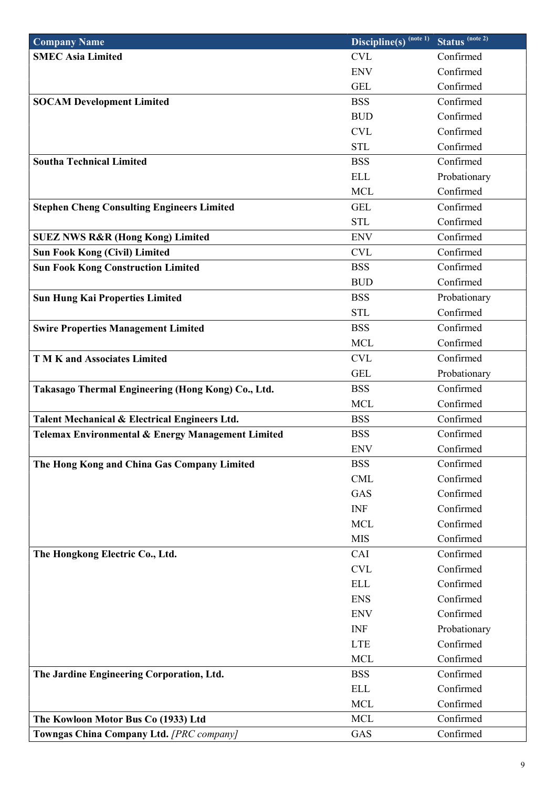| <b>Company Name</b>                                | Discipline(s) (note 1) | Status <sup>(note 2)</sup> |
|----------------------------------------------------|------------------------|----------------------------|
| <b>SMEC Asia Limited</b>                           | <b>CVL</b>             | Confirmed                  |
|                                                    | <b>ENV</b>             | Confirmed                  |
|                                                    | <b>GEL</b>             | Confirmed                  |
| <b>SOCAM Development Limited</b>                   | <b>BSS</b>             | Confirmed                  |
|                                                    | <b>BUD</b>             | Confirmed                  |
|                                                    | <b>CVL</b>             | Confirmed                  |
|                                                    | <b>STL</b>             | Confirmed                  |
| <b>Southa Technical Limited</b>                    | <b>BSS</b>             | Confirmed                  |
|                                                    | <b>ELL</b>             | Probationary               |
|                                                    | <b>MCL</b>             | Confirmed                  |
| <b>Stephen Cheng Consulting Engineers Limited</b>  | <b>GEL</b>             | Confirmed                  |
|                                                    | <b>STL</b>             | Confirmed                  |
| <b>SUEZ NWS R&amp;R (Hong Kong) Limited</b>        | <b>ENV</b>             | Confirmed                  |
| <b>Sun Fook Kong (Civil) Limited</b>               | <b>CVL</b>             | Confirmed                  |
| <b>Sun Fook Kong Construction Limited</b>          | <b>BSS</b>             | Confirmed                  |
|                                                    | <b>BUD</b>             | Confirmed                  |
| <b>Sun Hung Kai Properties Limited</b>             | <b>BSS</b>             | Probationary               |
|                                                    | <b>STL</b>             | Confirmed                  |
| <b>Swire Properties Management Limited</b>         | <b>BSS</b>             | Confirmed                  |
|                                                    | <b>MCL</b>             | Confirmed                  |
| <b>TMK</b> and Associates Limited                  | <b>CVL</b>             | Confirmed                  |
|                                                    | <b>GEL</b>             | Probationary               |
| Takasago Thermal Engineering (Hong Kong) Co., Ltd. | <b>BSS</b>             | Confirmed                  |
|                                                    | <b>MCL</b>             | Confirmed                  |
| Talent Mechanical & Electrical Engineers Ltd.      | <b>BSS</b>             | Confirmed                  |
| Telemax Environmental & Energy Management Limited  | <b>BSS</b>             | Confirmed                  |
|                                                    | <b>ENV</b>             | Confirmed                  |
| The Hong Kong and China Gas Company Limited        | <b>BSS</b>             | Confirmed                  |
|                                                    | <b>CML</b>             | Confirmed                  |
|                                                    | GAS                    | Confirmed                  |
|                                                    | <b>INF</b>             | Confirmed                  |
|                                                    | <b>MCL</b>             | Confirmed                  |
|                                                    | <b>MIS</b>             | Confirmed                  |
| The Hongkong Electric Co., Ltd.                    | CAI                    | Confirmed                  |
|                                                    | <b>CVL</b>             | Confirmed                  |
|                                                    | <b>ELL</b>             | Confirmed                  |
|                                                    | <b>ENS</b>             | Confirmed                  |
|                                                    | <b>ENV</b>             | Confirmed                  |
|                                                    | <b>INF</b>             | Probationary               |
|                                                    | <b>LTE</b>             | Confirmed                  |
|                                                    | <b>MCL</b>             | Confirmed                  |
| The Jardine Engineering Corporation, Ltd.          | <b>BSS</b>             | Confirmed                  |
|                                                    | <b>ELL</b>             | Confirmed                  |
|                                                    | <b>MCL</b>             | Confirmed                  |
| The Kowloon Motor Bus Co (1933) Ltd                | <b>MCL</b>             | Confirmed                  |
| Towngas China Company Ltd. [PRC company]           | GAS                    | Confirmed                  |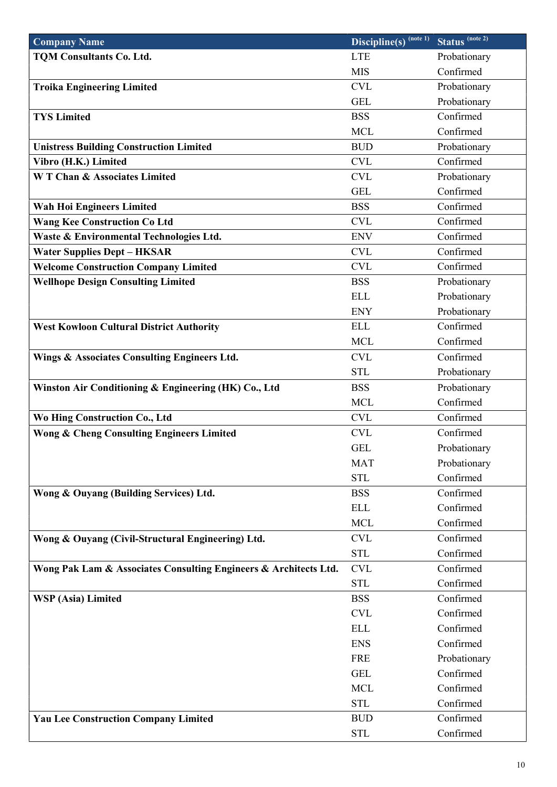| <b>Company Name</b>                                              | $\overline{\text{Discipline}(s)}^{\text{(note 1)}}$ | Status <sup>(note 2)</sup> |
|------------------------------------------------------------------|-----------------------------------------------------|----------------------------|
| <b>TQM Consultants Co. Ltd.</b>                                  | <b>LTE</b>                                          | Probationary               |
|                                                                  | <b>MIS</b>                                          | Confirmed                  |
| <b>Troika Engineering Limited</b>                                | <b>CVL</b>                                          | Probationary               |
|                                                                  | <b>GEL</b>                                          | Probationary               |
| <b>TYS Limited</b>                                               | <b>BSS</b>                                          | Confirmed                  |
|                                                                  | <b>MCL</b>                                          | Confirmed                  |
| <b>Unistress Building Construction Limited</b>                   | <b>BUD</b>                                          | Probationary               |
| Vibro (H.K.) Limited                                             | <b>CVL</b>                                          | Confirmed                  |
| <b>WT Chan &amp; Associates Limited</b>                          | <b>CVL</b>                                          | Probationary               |
|                                                                  | <b>GEL</b>                                          | Confirmed                  |
| Wah Hoi Engineers Limited                                        | <b>BSS</b>                                          | Confirmed                  |
| <b>Wang Kee Construction Co Ltd</b>                              | <b>CVL</b>                                          | Confirmed                  |
| Waste & Environmental Technologies Ltd.                          | <b>ENV</b>                                          | Confirmed                  |
| <b>Water Supplies Dept - HKSAR</b>                               | <b>CVL</b>                                          | Confirmed                  |
| <b>Welcome Construction Company Limited</b>                      | <b>CVL</b>                                          | Confirmed                  |
| <b>Wellhope Design Consulting Limited</b>                        | <b>BSS</b>                                          | Probationary               |
|                                                                  | <b>ELL</b>                                          | Probationary               |
|                                                                  | <b>ENY</b>                                          | Probationary               |
| <b>West Kowloon Cultural District Authority</b>                  | <b>ELL</b>                                          | Confirmed                  |
|                                                                  | <b>MCL</b>                                          | Confirmed                  |
| Wings & Associates Consulting Engineers Ltd.                     | <b>CVL</b>                                          | Confirmed                  |
|                                                                  | <b>STL</b>                                          | Probationary               |
| Winston Air Conditioning & Engineering (HK) Co., Ltd             | <b>BSS</b>                                          | Probationary               |
|                                                                  | <b>MCL</b>                                          | Confirmed                  |
| Wo Hing Construction Co., Ltd                                    | <b>CVL</b>                                          | Confirmed                  |
| <b>Wong &amp; Cheng Consulting Engineers Limited</b>             | <b>CVL</b>                                          | Confirmed                  |
|                                                                  | <b>GEL</b>                                          | Probationary               |
|                                                                  | <b>MAT</b>                                          | Probationary               |
|                                                                  | <b>STL</b>                                          | Confirmed                  |
| Wong & Ouyang (Building Services) Ltd.                           | <b>BSS</b>                                          | Confirmed                  |
|                                                                  | <b>ELL</b>                                          | Confirmed                  |
|                                                                  | <b>MCL</b>                                          | Confirmed                  |
| Wong & Ouyang (Civil-Structural Engineering) Ltd.                | <b>CVL</b>                                          | Confirmed                  |
|                                                                  | <b>STL</b>                                          | Confirmed                  |
| Wong Pak Lam & Associates Consulting Engineers & Architects Ltd. | <b>CVL</b>                                          | Confirmed                  |
|                                                                  | <b>STL</b>                                          | Confirmed                  |
| <b>WSP</b> (Asia) Limited                                        | <b>BSS</b>                                          | Confirmed                  |
|                                                                  | <b>CVL</b>                                          | Confirmed                  |
|                                                                  | <b>ELL</b>                                          | Confirmed                  |
|                                                                  | <b>ENS</b>                                          | Confirmed                  |
|                                                                  | <b>FRE</b>                                          | Probationary               |
|                                                                  | <b>GEL</b>                                          | Confirmed                  |
|                                                                  |                                                     |                            |
|                                                                  |                                                     |                            |
|                                                                  | <b>MCL</b>                                          | Confirmed                  |
| <b>Yau Lee Construction Company Limited</b>                      | <b>STL</b><br><b>BUD</b>                            | Confirmed<br>Confirmed     |